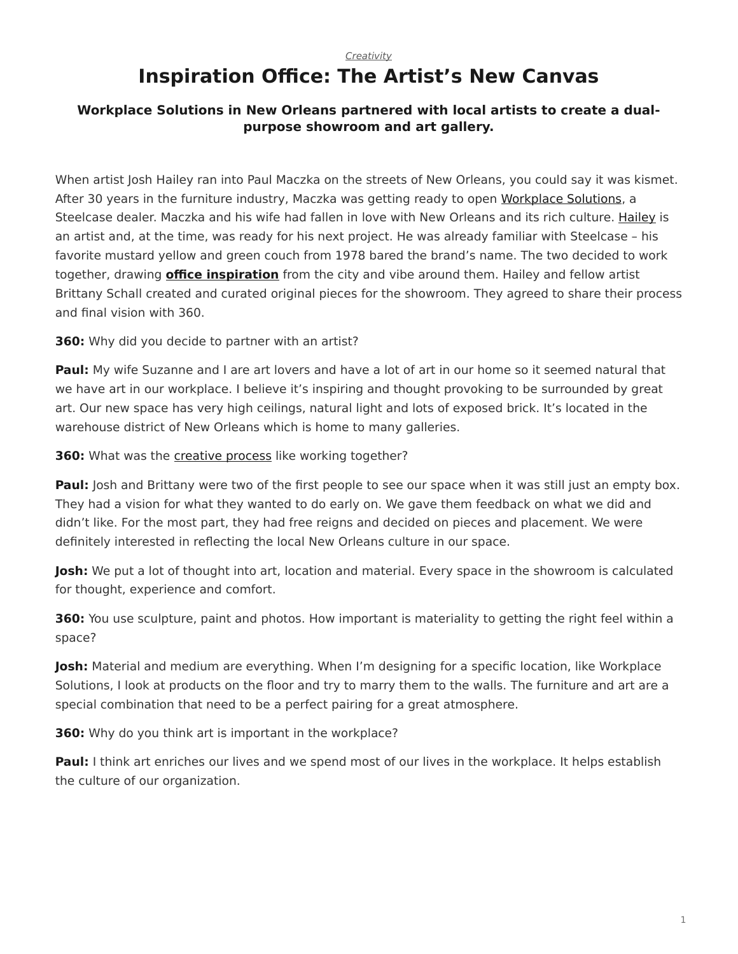## <span id="page-0-0"></span>*[Creativity](https://www.steelcase.com/research/topics/creativity/)* **Inspiration Office: The Artist's New Canvas**

## **Workplace Solutions in New Orleans partnered with local artists to create a dualpurpose showroom and art gallery.**

When artist Josh Hailey ran into Paul Maczka on the streets of New Orleans, you could say it was kismet. After 30 years in the furniture industry, Maczka was getting ready to open [Workplace Solutions](http://www.workplacesolutionsla.com/), a Steelcase dealer. Maczka and his wife had fallen in love with New Orleans and its rich culture. [Hailey](http://joshhaileyart.com/) is an artist and, at the time, was ready for his next project. He was already familiar with Steelcase – his favorite mustard yellow and green couch from 1978 bared the brand's name. The two decided to work together, drawing **[office inspiration](https://www.steelcase.com/spaces-inspiration/inspiring-office-workspaces/)** from the city and vibe around them. Hailey and fellow artist Brittany Schall created and curated original pieces for the showroom. They agreed to share their process and final vision with 360.

**360:** Why did you decide to partner with an artist?

Paul: My wife Suzanne and I are art lovers and have a lot of art in our home so it seemed natural that we have art in our workplace. I believe it's inspiring and thought provoking to be surrounded by great art. Our new space has very high ceilings, natural light and lots of exposed brick. It's located in the warehouse district of New Orleans which is home to many galleries.

**360:** What was the **[creative process](https://www.steelcase.com/research/articles/topics/creativity/creative-shift/)** like working together?

**Paul:** Josh and Brittany were two of the first people to see our space when it was still just an empty box. They had a vision for what they wanted to do early on. We gave them feedback on what we did and didn't like. For the most part, they had free reigns and decided on pieces and placement. We were definitely interested in reflecting the local New Orleans culture in our space.

Josh: We put a lot of thought into art, location and material. Every space in the showroom is calculated for thought, experience and comfort.

**360:** You use sculpture, paint and photos. How important is materiality to getting the right feel within a space?

**Josh:** Material and medium are everything. When I'm designing for a specific location, like Workplace Solutions, I look at products on the floor and try to marry them to the walls. The furniture and art are a special combination that need to be a perfect pairing for a great atmosphere.

**360:** Why do you think art is important in the workplace?

**Paul:** I think art enriches our lives and we spend most of our lives in the workplace. It helps establish the culture of our organization.